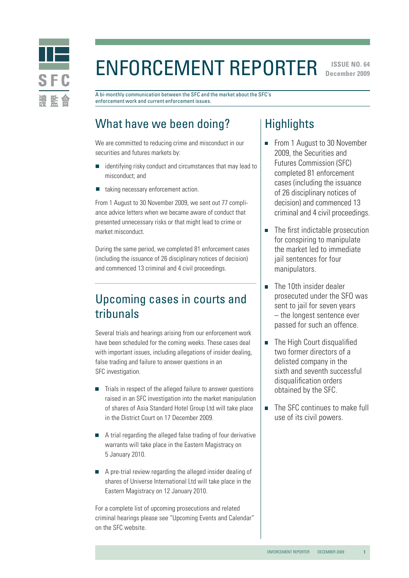

# Enforcement Reporter

**ISSUE NO. 64 December 2009** 

A bi-monthly communication between the SFC and the market about the SFC's enforcement work and current enforcement issues.

# What have we been doing?

We are committed to reducing crime and misconduct in our securities and futures markets by:

- identifying risky conduct and circumstances that may lead to misconduct; and
- taking necessary enforcement action.  $\Box$

From 1 August to 30 November 2009, we sent out 77 compliance advice letters when we became aware of conduct that presented unnecessary risks or that might lead to crime or market misconduct.

During the same period, we completed 81 enforcement cases (including the issuance of 26 disciplinary notices of decision) and commenced 13 criminal and 4 civil proceedings.

# Upcoming cases in courts and tribunals

Several trials and hearings arising from our enforcement work have been scheduled for the coming weeks. These cases deal with important issues, including allegations of insider dealing, false trading and failure to answer questions in an SFC investigation.

- $\blacksquare$  Trials in respect of the alleged failure to answer questions raised in an SFC investigation into the market manipulation of shares of Asia Standard Hotel Group Ltd will take place in the District Court on 17 December 2009.
- A trial regarding the alleged false trading of four derivative warrants will take place in the Eastern Magistracy on 5 January 2010.
- A pre-trial review regarding the alleged insider dealing of shares of Universe International Ltd will take place in the Eastern Magistracy on 12 January 2010.

For a complete list of upcoming prosecutions and related criminal hearings please see "Upcoming Events and Calendar" on the SFC website.

# **Highlights**

- From 1 August to 30 November 2009, the Securities and Futures Commission (SFC) completed 81 enforcement cases (including the issuance of 26 disciplinary notices of decision) and commenced 13 criminal and 4 civil proceedings.
- The first indictable prosecution for conspiring to manipulate the market led to immediate jail sentences for four manipulators.
- The 10th insider dealer  $\Box$ prosecuted under the SFO was sent to jail for seven years – the longest sentence ever passed for such an offence.
- The High Court disqualified two former directors of a delisted company in the sixth and seventh successful disqualification orders obtained by the SFC.
- The SFC continues to make full use of its civil powers.

1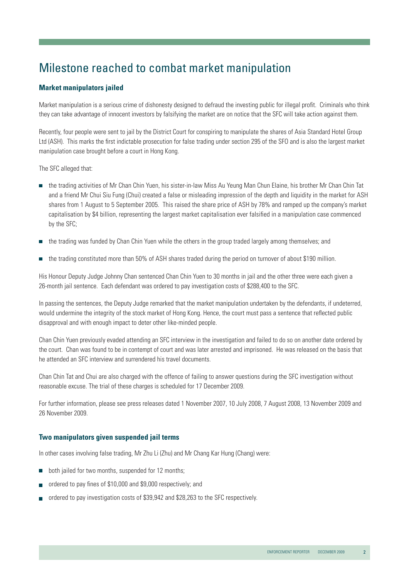# Milestone reached to combat market manipulation

### **Market manipulators jailed**

Market manipulation is a serious crime of dishonesty designed to defraud the investing public for illegal profit. Criminals who think they can take advantage of innocent investors by falsifying the market are on notice that the SFC will take action against them.

Recently, four people were sent to jail by the District Court for conspiring to manipulate the shares of Asia Standard Hotel Group Ltd (ASH). This marks the first indictable prosecution for false trading under section 295 of the SFO and is also the largest market manipulation case brought before a court in Hong Kong.

The SFC alleged that:

- the trading activities of Mr Chan Chin Yuen, his sister-in-law Miss Au Yeung Man Chun Elaine, his brother Mr Chan Chin Tat and a friend Mr Chui Siu Fung (Chui) created a false or misleading impression of the depth and liquidity in the market for ASH shares from 1 August to 5 September 2005. This raised the share price of ASH by 78% and ramped up the company's market capitalisation by \$4 billion, representing the largest market capitalisation ever falsified in a manipulation case commenced by the SFC;
- the trading was funded by Chan Chin Yuen while the others in the group traded largely among themselves; and
- the trading constituted more than 50% of ASH shares traded during the period on turnover of about \$190 million.  $\Box$

His Honour Deputy Judge Johnny Chan sentenced Chan Chin Yuen to 30 months in jail and the other three were each given a 26-month jail sentence. Each defendant was ordered to pay investigation costs of \$288,400 to the SFC.

In passing the sentences, the Deputy Judge remarked that the market manipulation undertaken by the defendants, if undeterred, would undermine the integrity of the stock market of Hong Kong. Hence, the court must pass a sentence that reflected public disapproval and with enough impact to deter other like-minded people.

Chan Chin Yuen previously evaded attending an SFC interview in the investigation and failed to do so on another date ordered by the court. Chan was found to be in contempt of court and was later arrested and imprisoned. He was released on the basis that he attended an SFC interview and surrendered his travel documents.

Chan Chin Tat and Chui are also charged with the offence of failing to answer questions during the SFC investigation without reasonable excuse. The trial of these charges is scheduled for 17 December 2009.

For further information, please see press releases dated 1 November 2007, 10 July 2008, 7 August 2008, 13 November 2009 and 26 November 2009.

### **Two manipulators given suspended jail terms**

In other cases involving false trading, Mr Zhu Li (Zhu) and Mr Chang Kar Hung (Chang) were:

- both jailed for two months, suspended for 12 months; П
- ordered to pay fines of \$10,000 and \$9,000 respectively; and
- ordered to pay investigation costs of \$39,942 and \$28,263 to the SFC respectively.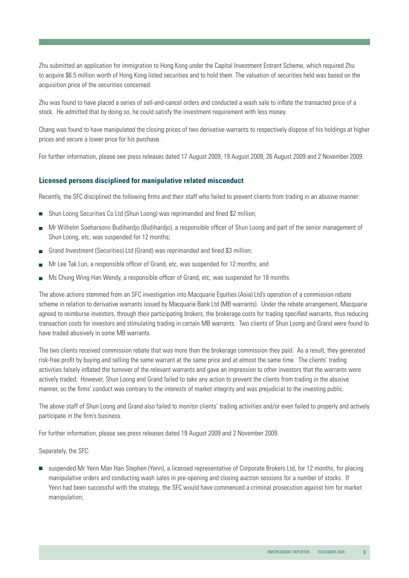Zhu submitted an application for immigration to Hong Kong under the Capital Investment Entrant Scheme, which required Zhu to acquire \$6.5 million worth of Hong Kong listed securities and to hold them. The valuation of securities held was based on the acquisition price of the securities concerned.

Zhu was found to have placed a series of sell-and-cancel orders and conducted a wash sale to inflate the transacted price of a stock. He admitted that by doing so, he could satisfy the investment requirement with less money.

Chang was found to have manipulated the closing prices of two derivative warrants to respectively dispose of his holdings at higher prices and secure a lower price for his purchase.

For further information, please see press releases dated 17 August 2009, 19 August 2009, 26 August 2009 and 2 November 2009.

### **Licensed persons disciplined for manipulative related misconduct**

Recently, the SFC disciplined the following firms and their staff who failed to prevent clients from trading in an abusive manner:

- Shun Loong Securities Co Ltd (Shun Loong) was reprimanded and fined \$2 million;
- Mr Wilhelm Soeharsono Budihardjo (Budihardjo), a responsible officer of Shun Loong and part of the senior management of Shun Loong, etc, was suspended for 12 months;
- Grand Investment (Securities) Ltd (Grand) was reprimanded and fined \$3 million:
- Mr Lee Tak Lun, a responsible officer of Grand, etc, was suspended for 12 months; and
- **Ms Chung Wing Han Wendy, a responsible officer of Grand, etc, was suspended for 18 months.**

The above actions stemmed from an SFC investigation into Macquarie Equities (Asia) Ltd's operation of a commission rebate scheme in relation to derivative warrants issued by Macquarie Bank Ltd (MB warrants). Under the rebate arrangement, Macquarie agreed to reimburse investors, through their participating brokers, the brokerage costs for trading specified warrants, thus reducing transaction costs for investors and stimulating trading in certain MB warrants. Two clients of Shun Loong and Grand were found to have traded abusively in some MB warrants.

The two clients received commission rebate that was more than the brokerage commission they paid. As a result, they generated risk-free profit by buying and selling the same warrant at the same price and at almost the same time. The clients' trading activities falsely inflated the turnover of the relevant warrants and gave an impression to other investors that the warrants were actively traded. However, Shun Loong and Grand failed to take any action to prevent the clients from trading in the abusive manner, so the firms' conduct was contrary to the interests of market integrity and was prejudicial to the investing public.

The above staff of Shun Loong and Grand also failed to monitor clients' trading activities and/or even failed to properly and actively participate in the firm's business.

For further information, please see press releases dated 19 August 2009 and 2 November 2009.

Separately, the SFC:

suspended Mr Yenn Man Han Stephen (Yenn), a licensed representative of Corporate Brokers Ltd, for 12 months, for placing manipulative orders and conducting wash sales in pre-opening and closing auction sessions for a number of stocks. If Yenn had been successful with the strategy, the SFC would have commenced a criminal prosecution against him for market manipulation;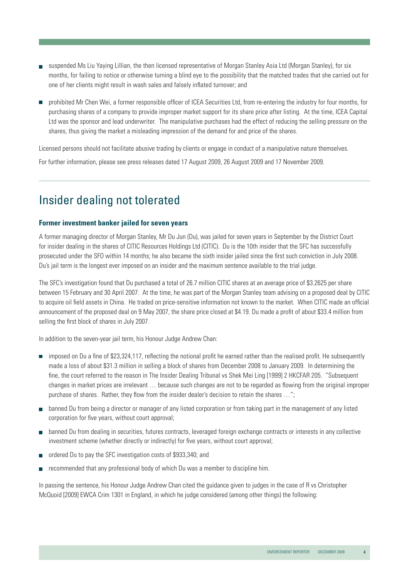- suspended Ms Liu Yaying Lillian, the then licensed representative of Morgan Stanley Asia Ltd (Morgan Stanley), for six months, for failing to notice or otherwise turning a blind eye to the possibility that the matched trades that she carried out for one of her clients might result in wash sales and falsely inflated turnover; and
- prohibited Mr Chen Wei, a former responsible officer of ICEA Securities Ltd, from re-entering the industry for four months, for purchasing shares of a company to provide improper market support for its share price after listing. At the time, ICEA Capital Ltd was the sponsor and lead underwriter. The manipulative purchases had the effect of reducing the selling pressure on the shares, thus giving the market a misleading impression of the demand for and price of the shares.

Licensed persons should not facilitate abusive trading by clients or engage in conduct of a manipulative nature themselves. For further information, please see press releases dated 17 August 2009, 26 August 2009 and 17 November 2009.

# Insider dealing not tolerated

### **Former investment banker jailed for seven years**

A former managing director of Morgan Stanley, Mr Du Jun (Du), was jailed for seven years in September by the District Court for insider dealing in the shares of CITIC Resources Holdings Ltd (CITIC). Du is the 10th insider that the SFC has successfully prosecuted under the SFO within 14 months; he also became the sixth insider jailed since the first such conviction in July 2008. Du's jail term is the longest ever imposed on an insider and the maximum sentence available to the trial judge.

The SFC's investigation found that Du purchased a total of 26.7 million CITIC shares at an average price of \$3.2625 per share between 15 February and 30 April 2007. At the time, he was part of the Morgan Stanley team advising on a proposed deal by CITIC to acquire oil field assets in China. He traded on price-sensitive information not known to the market. When CITIC made an official announcement of the proposed deal on 9 May 2007, the share price closed at \$4.19. Du made a profit of about \$33.4 million from selling the first block of shares in July 2007.

In addition to the seven-year jail term, his Honour Judge Andrew Chan:

- imposed on Du a fine of \$23,324,117, reflecting the notional profit he earned rather than the realised profit. He subsequently made a loss of about \$31.3 million in selling a block of shares from December 2008 to January 2009. In determining the fine, the court referred to the reason in The Insider Dealing Tribunal vs Shek Mei Ling [1999] 2 HKCFAR 205. "Subsequent changes in market prices are irrelevant … because such changes are not to be regarded as flowing from the original improper purchase of shares. Rather, they flow from the insider dealer's decision to retain the shares …";
- **banned Du from being a director or manager of any listed corporation or from taking part in the management of any listed** corporation for five years, without court approval;
- banned Du from dealing in securities, futures contracts, leveraged foreign exchange contracts or interests in any collective investment scheme (whether directly or indirectly) for five years, without court approval;
- ordered Du to pay the SFC investigation costs of \$933,340; and
- recommended that any professional body of which Du was a member to discipline him.

In passing the sentence, his Honour Judge Andrew Chan cited the guidance given to judges in the case of R vs Christopher McQuoid [2009] EWCA Crim 1301 in England, in which he judge considered (among other things) the following: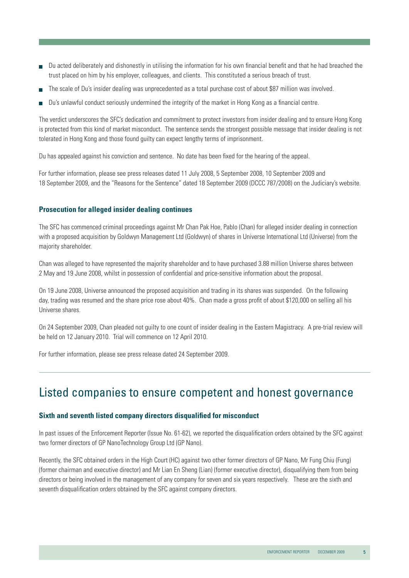- Du acted deliberately and dishonestly in utilising the information for his own financial benefit and that he had breached the trust placed on him by his employer, colleagues, and clients. This constituted a serious breach of trust.
- The scale of Du's insider dealing was unprecedented as a total purchase cost of about \$87 million was involved.
- Du's unlawful conduct seriously undermined the integrity of the market in Hong Kong as a financial centre.

The verdict underscores the SFC's dedication and commitment to protect investors from insider dealing and to ensure Hong Kong is protected from this kind of market misconduct. The sentence sends the strongest possible message that insider dealing is not tolerated in Hong Kong and those found guilty can expect lengthy terms of imprisonment.

Du has appealed against his conviction and sentence. No date has been fixed for the hearing of the appeal.

For further information, please see press releases dated 11 July 2008, 5 September 2008, 10 September 2009 and 18 September 2009, and the "Reasons for the Sentence" dated 18 September 2009 (DCCC 787/2008) on the Judiciary's website.

#### **Prosecution for alleged insider dealing continues**

The SFC has commenced criminal proceedings against Mr Chan Pak Hoe, Pablo (Chan) for alleged insider dealing in connection with a proposed acquisition by Goldwyn Management Ltd (Goldwyn) of shares in Universe International Ltd (Universe) from the majority shareholder.

Chan was alleged to have represented the majority shareholder and to have purchased 3.88 million Universe shares between 2 May and 19 June 2008, whilst in possession of confidential and price-sensitive information about the proposal.

On 19 June 2008, Universe announced the proposed acquisition and trading in its shares was suspended. On the following day, trading was resumed and the share price rose about 40%. Chan made a gross profit of about \$120,000 on selling all his Universe shares.

On 24 September 2009, Chan pleaded not guilty to one count of insider dealing in the Eastern Magistracy. A pre-trial review will be held on 12 January 2010. Trial will commence on 12 April 2010.

For further information, please see press release dated 24 September 2009.

### Listed companies to ensure competent and honest governance

#### **Sixth and seventh listed company directors disqualified for misconduct**

In past issues of the Enforcement Reporter (Issue No. 61-62), we reported the disqualification orders obtained by the SFC against two former directors of GP NanoTechnology Group Ltd (GP Nano).

Recently, the SFC obtained orders in the High Court (HC) against two other former directors of GP Nano, Mr Fung Chiu (Fung) (former chairman and executive director) and Mr Lian En Sheng (Lian) (former executive director), disqualifying them from being directors or being involved in the management of any company for seven and six years respectively. These are the sixth and seventh disqualification orders obtained by the SFC against company directors.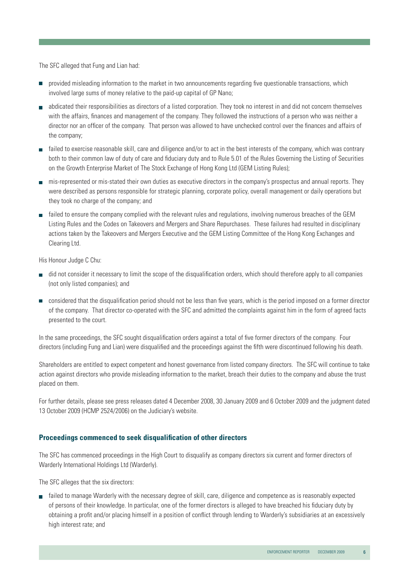The SFC alleged that Fung and Lian had:

- **P** provided misleading information to the market in two announcements regarding five questionable transactions, which involved large sums of money relative to the paid-up capital of GP Nano;
- abdicated their responsibilities as directors of a listed corporation. They took no interest in and did not concern themselves with the affairs, finances and management of the company. They followed the instructions of a person who was neither a director nor an officer of the company. That person was allowed to have unchecked control over the finances and affairs of the company;
- failed to exercise reasonable skill, care and diligence and/or to act in the best interests of the company, which was contrary both to their common law of duty of care and fiduciary duty and to Rule 5.01 of the Rules Governing the Listing of Securities on the Growth Enterprise Market of The Stock Exchange of Hong Kong Ltd (GEM Listing Rules);
- mis-represented or mis-stated their own duties as executive directors in the company's prospectus and annual reports. They were described as persons responsible for strategic planning, corporate policy, overall management or daily operations but they took no charge of the company; and
- $\blacksquare$  failed to ensure the company complied with the relevant rules and regulations, involving numerous breaches of the GEM Listing Rules and the Codes on Takeovers and Mergers and Share Repurchases. These failures had resulted in disciplinary actions taken by the Takeovers and Mergers Executive and the GEM Listing Committee of the Hong Kong Exchanges and Clearing Ltd.

His Honour Judge C Chu:

- did not consider it necessary to limit the scope of the disqualification orders, which should therefore apply to all companies (not only listed companies); and
- considered that the disqualification period should not be less than five years, which is the period imposed on a former director of the company. That director co-operated with the SFC and admitted the complaints against him in the form of agreed facts presented to the court.

In the same proceedings, the SFC sought disqualification orders against a total of five former directors of the company. Four directors (including Fung and Lian) were disqualified and the proceedings against the fifth were discontinued following his death.

Shareholders are entitled to expect competent and honest governance from listed company directors. The SFC will continue to take action against directors who provide misleading information to the market, breach their duties to the company and abuse the trust placed on them.

For further details, please see press releases dated 4 December 2008, 30 January 2009 and 6 October 2009 and the judgment dated 13 October 2009 (HCMP 2524/2006) on the Judiciary's website.

### **Proceedings commenced to seek disqualification of other directors**

The SFC has commenced proceedings in the High Court to disqualify as company directors six current and former directors of Warderly International Holdings Ltd (Warderly).

The SFC alleges that the six directors:

 failed to manage Warderly with the necessary degree of skill, care, diligence and competence as is reasonably expected of persons of their knowledge. In particular, one of the former directors is alleged to have breached his fiduciary duty by obtaining a profit and/or placing himself in a position of conflict through lending to Warderly's subsidiaries at an excessively high interest rate; and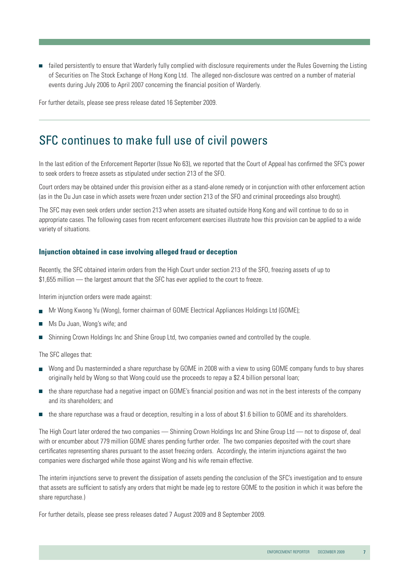failed persistently to ensure that Warderly fully complied with disclosure requirements under the Rules Governing the Listing of Securities on The Stock Exchange of Hong Kong Ltd. The alleged non-disclosure was centred on a number of material events during July 2006 to April 2007 concerning the financial position of Warderly.

For further details, please see press release dated 16 September 2009.

### SFC continues to make full use of civil powers

In the last edition of the Enforcement Reporter (Issue No 63), we reported that the Court of Appeal has confirmed the SFC's power to seek orders to freeze assets as stipulated under section 213 of the SFO.

Court orders may be obtained under this provision either as a stand-alone remedy or in conjunction with other enforcement action (as in the Du Jun case in which assets were frozen under section 213 of the SFO and criminal proceedings also brought).

The SFC may even seek orders under section 213 when assets are situated outside Hong Kong and will continue to do so in appropriate cases. The following cases from recent enforcement exercises illustrate how this provision can be applied to a wide variety of situations.

### **Injunction obtained in case involving alleged fraud or deception**

Recently, the SFC obtained interim orders from the High Court under section 213 of the SFO, freezing assets of up to \$1,655 million — the largest amount that the SFC has ever applied to the court to freeze.

Interim injunction orders were made against:

- Mr Wong Kwong Yu (Wong), former chairman of GOME Electrical Appliances Holdings Ltd (GOME);
- **Ms Du Juan, Wong's wife; and**
- Shinning Crown Holdings Inc and Shine Group Ltd, two companies owned and controlled by the couple.

The SFC alleges that:

- Wong and Du masterminded a share repurchase by GOME in 2008 with a view to using GOME company funds to buy shares originally held by Wong so that Wong could use the proceeds to repay a \$2.4 billion personal loan;
- the share repurchase had a negative impact on GOME's financial position and was not in the best interests of the company and its shareholders; and
- the share repurchase was a fraud or deception, resulting in a loss of about \$1.6 billion to GOME and its shareholders.

The High Court later ordered the two companies — Shinning Crown Holdings Inc and Shine Group Ltd — not to dispose of, deal with or encumber about 779 million GOME shares pending further order. The two companies deposited with the court share certificates representing shares pursuant to the asset freezing orders. Accordingly, the interim injunctions against the two companies were discharged while those against Wong and his wife remain effective.

The interim injunctions serve to prevent the dissipation of assets pending the conclusion of the SFC's investigation and to ensure that assets are sufficient to satisfy any orders that might be made (eg to restore GOME to the position in which it was before the share repurchase.)

For further details, please see press releases dated 7 August 2009 and 8 September 2009.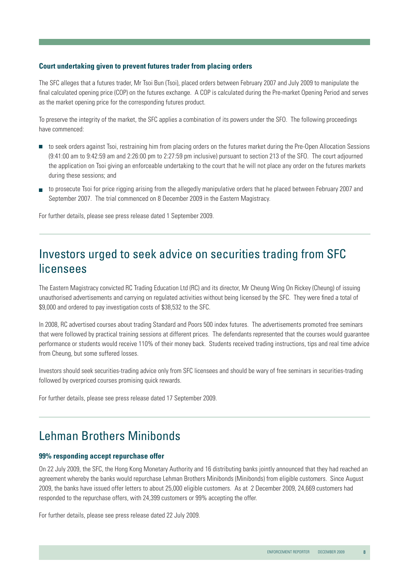### **Court undertaking given to prevent futures trader from placing orders**

The SFC alleges that a futures trader, Mr Tsoi Bun (Tsoi), placed orders between February 2007 and July 2009 to manipulate the final calculated opening price (COP) on the futures exchange. A COP is calculated during the Pre-market Opening Period and serves as the market opening price for the corresponding futures product.

To preserve the integrity of the market, the SFC applies a combination of its powers under the SFO. The following proceedings have commenced:

- to seek orders against Tsoi, restraining him from placing orders on the futures market during the Pre-Open Allocation Sessions (9:41:00 am to 9:42:59 am and 2:26:00 pm to 2:27:59 pm inclusive) pursuant to section 213 of the SFO. The court adjourned the application on Tsoi giving an enforceable undertaking to the court that he will not place any order on the futures markets during these sessions; and
- to prosecute Tsoi for price rigging arising from the allegedly manipulative orders that he placed between February 2007 and September 2007. The trial commenced on 8 December 2009 in the Eastern Magistracy.

For further details, please see press release dated 1 September 2009.

## Investors urged to seek advice on securities trading from SFC licensees

The Eastern Magistracy convicted RC Trading Education Ltd (RC) and its director, Mr Cheung Wing On Rickey (Cheung) of issuing unauthorised advertisements and carrying on regulated activities without being licensed by the SFC. They were fined a total of \$9,000 and ordered to pay investigation costs of \$38,532 to the SFC.

In 2008, RC advertised courses about trading Standard and Poors 500 index futures. The advertisements promoted free seminars that were followed by practical training sessions at different prices. The defendants represented that the courses would guarantee performance or students would receive 110% of their money back. Students received trading instructions, tips and real time advice from Cheung, but some suffered losses.

Investors should seek securities-trading advice only from SFC licensees and should be wary of free seminars in securities-trading followed by overpriced courses promising quick rewards.

For further details, please see press release dated 17 September 2009.

## Lehman Brothers Minibonds

#### **99% responding accept repurchase offer**

On 22 July 2009, the SFC, the Hong Kong Monetary Authority and 16 distributing banks jointly announced that they had reached an agreement whereby the banks would repurchase Lehman Brothers Minibonds (Minibonds) from eligible customers. Since August 2009, the banks have issued offer letters to about 25,000 eligible customers. As at 2 December 2009, 24,669 customers had responded to the repurchase offers, with 24,399 customers or 99% accepting the offer.

For further details, please see press release dated 22 July 2009.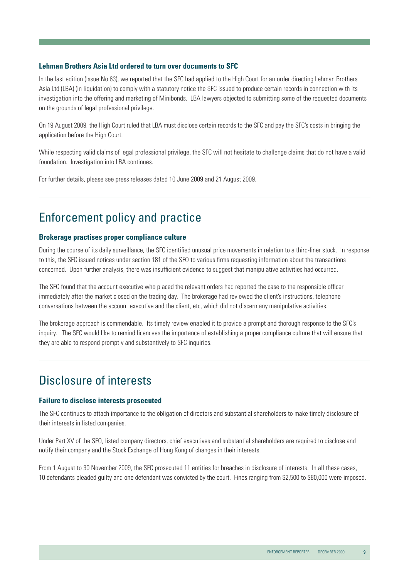### **Lehman Brothers Asia Ltd ordered to turn over documents to SFC**

In the last edition (Issue No 63), we reported that the SFC had applied to the High Court for an order directing Lehman Brothers Asia Ltd (LBA) (in liquidation) to comply with a statutory notice the SFC issued to produce certain records in connection with its investigation into the offering and marketing of Minibonds. LBA lawyers objected to submitting some of the requested documents on the grounds of legal professional privilege.

On 19 August 2009, the High Court ruled that LBA must disclose certain records to the SFC and pay the SFC's costs in bringing the application before the High Court.

While respecting valid claims of legal professional privilege, the SFC will not hesitate to challenge claims that do not have a valid foundation. Investigation into LBA continues.

For further details, please see press releases dated 10 June 2009 and 21 August 2009.

## Enforcement policy and practice

### **Brokerage practises proper compliance culture**

During the course of its daily surveillance, the SFC identified unusual price movements in relation to a third-liner stock. In response to this, the SFC issued notices under section 181 of the SFO to various firms requesting information about the transactions concerned. Upon further analysis, there was insufficient evidence to suggest that manipulative activities had occurred.

The SFC found that the account executive who placed the relevant orders had reported the case to the responsible officer immediately after the market closed on the trading day. The brokerage had reviewed the client's instructions, telephone conversations between the account executive and the client, etc, which did not discern any manipulative activities.

The brokerage approach is commendable. Its timely review enabled it to provide a prompt and thorough response to the SFC's inquiry. The SFC would like to remind licencees the importance of establishing a proper compliance culture that will ensure that they are able to respond promptly and substantively to SFC inquiries.

### Disclosure of interests

#### **Failure to disclose interests prosecuted**

The SFC continues to attach importance to the obligation of directors and substantial shareholders to make timely disclosure of their interests in listed companies.

Under Part XV of the SFO, listed company directors, chief executives and substantial shareholders are required to disclose and notify their company and the Stock Exchange of Hong Kong of changes in their interests.

From 1 August to 30 November 2009, the SFC prosecuted 11 entities for breaches in disclosure of interests. In all these cases, 10 defendants pleaded guilty and one defendant was convicted by the court. Fines ranging from \$2,500 to \$80,000 were imposed.